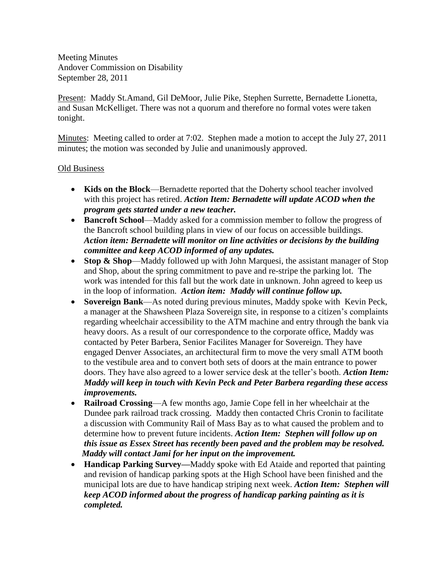Meeting Minutes Andover Commission on Disability September 28, 2011

Present: Maddy St.Amand, Gil DeMoor, Julie Pike, Stephen Surrette, Bernadette Lionetta, and Susan McKelliget. There was not a quorum and therefore no formal votes were taken tonight.

Minutes: Meeting called to order at 7:02. Stephen made a motion to accept the July 27, 2011 minutes; the motion was seconded by Julie and unanimously approved.

# Old Business

- **Kids on the Block**—Bernadette reported that the Doherty school teacher involved with this project has retired. *Action Item: Bernadette will update ACOD when the program gets started under a new teacher.*
- **Bancroft School**—Maddy asked for a commission member to follow the progress of the Bancroft school building plans in view of our focus on accessible buildings. *Action item: Bernadette will monitor on line activities or decisions by the building committee and keep ACOD informed of any updates.*
- **Stop & Shop**—Maddy followed up with John Marquesi, the assistant manager of Stop and Shop, about the spring commitment to pave and re-stripe the parking lot. The work was intended for this fall but the work date in unknown. John agreed to keep us in the loop of information. *Action item: Maddy will continue follow up.*
- **Sovereign Bank**—As noted during previous minutes, Maddy spoke with Kevin Peck, a manager at the Shawsheen Plaza Sovereign site, in response to a citizen's complaints regarding wheelchair accessibility to the ATM machine and entry through the bank via heavy doors. As a result of our correspondence to the corporate office, Maddy was contacted by Peter Barbera, Senior Facilites Manager for Sovereign. They have engaged Denver Associates, an architectural firm to move the very small ATM booth to the vestibule area and to convert both sets of doors at the main entrance to power doors. They have also agreed to a lower service desk at the teller's booth. *Action Item: Maddy will keep in touch with Kevin Peck and Peter Barbera regarding these access improvements.*
- **Railroad Crossing**—A few months ago, Jamie Cope fell in her wheelchair at the Dundee park railroad track crossing. Maddy then contacted Chris Cronin to facilitate a discussion with Community Rail of Mass Bay as to what caused the problem and to determine how to prevent future incidents. *Action Item: Stephen will follow up on this issue as Essex Street has recently been paved and the problem may be resolved. Maddy will contact Jami for her input on the improvement.*
- **Handicap Parking Survey—**Maddy **s**poke with Ed Ataide and reported that painting and revision of handicap parking spots at the High School have been finished and the municipal lots are due to have handicap striping next week. *Action Item: Stephen will keep ACOD informed about the progress of handicap parking painting as it is completed.*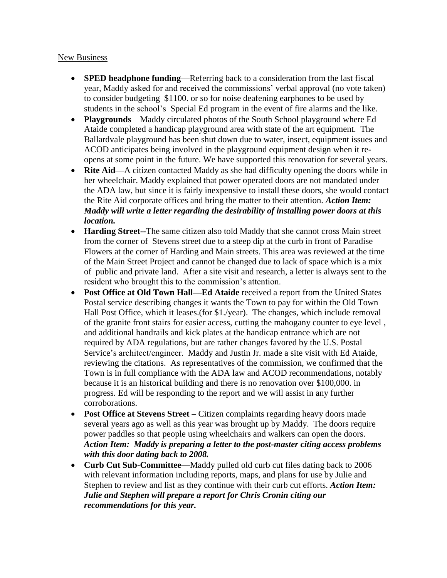### New Business

- **SPED headphone funding**—Referring back to a consideration from the last fiscal year, Maddy asked for and received the commissions' verbal approval (no vote taken) to consider budgeting \$1100. or so for noise deafening earphones to be used by students in the school's Special Ed program in the event of fire alarms and the like.
- **Playgrounds**—Maddy circulated photos of the South School playground where Ed Ataide completed a handicap playground area with state of the art equipment. The Ballardvale playground has been shut down due to water, insect, equipment issues and ACOD anticipates being involved in the playground equipment design when it reopens at some point in the future. We have supported this renovation for several years.
- **Rite Aid—**A citizen contacted Maddy as she had difficulty opening the doors while in her wheelchair. Maddy explained that power operated doors are not mandated under the ADA law, but since it is fairly inexpensive to install these doors, she would contact the Rite Aid corporate offices and bring the matter to their attention. *Action Item: Maddy will write a letter regarding the desirability of installing power doors at this location.*
- **Harding Street--**The same citizen also told Maddy that she cannot cross Main street from the corner of Stevens street due to a steep dip at the curb in front of Paradise Flowers at the corner of Harding and Main streets. This area was reviewed at the time of the Main Street Project and cannot be changed due to lack of space which is a mix of public and private land. After a site visit and research, a letter is always sent to the resident who brought this to the commission's attention.
- **Post Office at Old Town Hall—Ed Ataide** received a report from the United States Postal service describing changes it wants the Town to pay for within the Old Town Hall Post Office, which it leases.(for \$1./year). The changes, which include removal of the granite front stairs for easier access, cutting the mahogany counter to eye level , and additional handrails and kick plates at the handicap entrance which are not required by ADA regulations, but are rather changes favored by the U.S. Postal Service's architect/engineer. Maddy and Justin Jr. made a site visit with Ed Ataide, reviewing the citations. As representatives of the commission, we confirmed that the Town is in full compliance with the ADA law and ACOD recommendations, notably because it is an historical building and there is no renovation over \$100,000. in progress. Ed will be responding to the report and we will assist in any further corroborations.
- **Post Office at Stevens Street Citizen complaints regarding heavy doors made** several years ago as well as this year was brought up by Maddy. The doors require power paddles so that people using wheelchairs and walkers can open the doors. *Action Item: Maddy is preparing a letter to the post-master citing access problems with this door dating back to 2008.*
- **Curb Cut Sub-Committee—**Maddy pulled old curb cut files dating back to 2006 with relevant information including reports, maps, and plans for use by Julie and Stephen to review and list as they continue with their curb cut efforts. *Action Item: Julie and Stephen will prepare a report for Chris Cronin citing our recommendations for this year.*